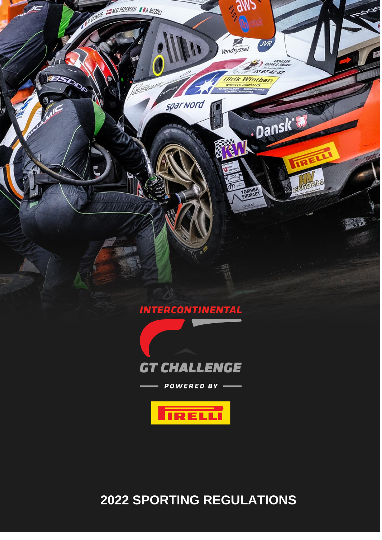

**SPORTING REGULATIONS**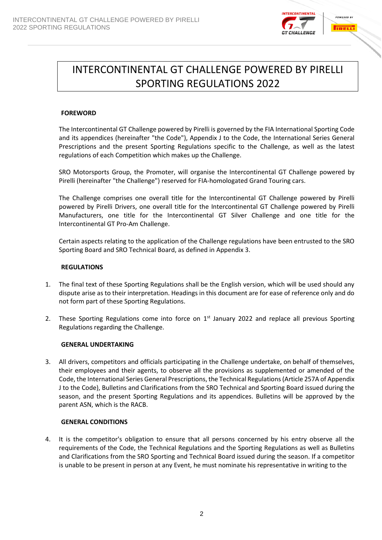

# INTERCONTINENTAL GT CHALLENGE POWERED BY PIRELLI SPORTING REGULATIONS 2022

# **FOREWORD**

The Intercontinental GT Challenge powered by Pirelli is governed by the FIA International Sporting Code and its appendices (hereinafter "the Code"), Appendix J to the Code, the International Series General Prescriptions and the present Sporting Regulations specific to the Challenge, as well as the latest regulations of each Competition which makes up the Challenge.

SRO Motorsports Group, the Promoter, will organise the Intercontinental GT Challenge powered by Pirelli (hereinafter "the Challenge") reserved for FIA-homologated Grand Touring cars.

The Challenge comprises one overall title for the Intercontinental GT Challenge powered by Pirelli powered by Pirelli Drivers, one overall title for the Intercontinental GT Challenge powered by Pirelli Manufacturers, one title for the Intercontinental GT Silver Challenge and one title for the Intercontinental GT Pro-Am Challenge.

Certain aspects relating to the application of the Challenge regulations have been entrusted to the SRO Sporting Board and SRO Technical Board, as defined in Appendix 3.

## **REGULATIONS**

- 1. The final text of these Sporting Regulations shall be the English version, which will be used should any dispute arise as to their interpretation. Headings in this document are for ease of reference only and do not form part of these Sporting Regulations.
- 2. These Sporting Regulations come into force on  $1<sup>st</sup>$  January 2022 and replace all previous Sporting Regulations regarding the Challenge.

## **GENERAL UNDERTAKING**

3. All drivers, competitors and officials participating in the Challenge undertake, on behalf of themselves, their employees and their agents, to observe all the provisions as supplemented or amended of the Code, the International Series General Prescriptions, the Technical Regulations(Article 257A of Appendix J to the Code), Bulletins and Clarifications from the SRO Technical and Sporting Board issued during the season, and the present Sporting Regulations and its appendices. Bulletins will be approved by the parent ASN, which is the RACB.

## **GENERAL CONDITIONS**

4. It is the competitor's obligation to ensure that all persons concerned by his entry observe all the requirements of the Code, the Technical Regulations and the Sporting Regulations as well as Bulletins and Clarifications from the SRO Sporting and Technical Board issued during the season. If a competitor is unable to be present in person at any Event, he must nominate his representative in writing to the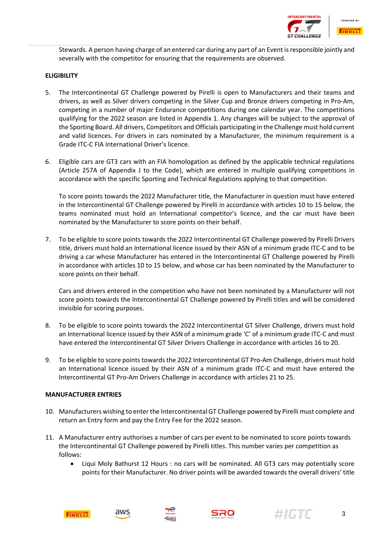

Stewards. A person having charge of an entered car during any part of an Event is responsible jointly and severally with the competitor for ensuring that the requirements are observed.

## **ELIGIBILITY**

- 5. The Intercontinental GT Challenge powered by Pirelli is open to Manufacturers and their teams and drivers, as well as Silver drivers competing in the Silver Cup and Bronze drivers competing in Pro-Am, competing in a number of major Endurance competitions during one calendar year. The competitions qualifying for the 2022 season are listed in Appendix 1. Any changes will be subject to the approval of the Sporting Board. All drivers, Competitors and Officials participating in the Challenge must hold current and valid licences. For drivers in cars nominated by a Manufacturer, the minimum requirement is a Grade ITC-C FIA International Driver's licence.
- 6. Eligible cars are GT3 cars with an FIA homologation as defined by the applicable technical regulations (Article 257A of Appendix J to the Code), which are entered in multiple qualifying competitions in accordance with the specific Sporting and Technical Regulations applying to that competition.

To score points towards the 2022 Manufacturer title, the Manufacturer in question must have entered in the Intercontinental GT Challenge powered by Pirelli in accordance with articles 10 to 15 below, the teams nominated must hold an International competitor's licence, and the car must have been nominated by the Manufacturer to score points on their behalf.

7. To be eligible to score points towards the 2022 Intercontinental GT Challenge powered by Pirelli Drivers title, drivers must hold an International licence issued by their ASN of a minimum grade ITC-C and to be driving a car whose Manufacturer has entered in the Intercontinental GT Challenge powered by Pirelli in accordance with articles 10 to 15 below, and whose car has been nominated by the Manufacturer to score points on their behalf.

Cars and drivers entered in the competition who have not been nominated by a Manufacturer will not score points towards the Intercontinental GT Challenge powered by Pirelli titles and will be considered invisible for scoring purposes.

- 8. To be eligible to score points towards the 2022 Intercontinental GT Silver Challenge, drivers must hold an International licence issued by their ASN of a minimum grade 'C' of a minimum grade ITC-C and must have entered the Intercontinental GT Silver Drivers Challenge in accordance with articles 16 to 20.
- 9. To be eligible to score points towards the 2022 Intercontinental GT Pro-Am Challenge, drivers must hold an International licence issued by their ASN of a minimum grade ITC-C and must have entered the Intercontinental GT Pro-Am Drivers Challenge in accordance with articles 21 to 25.

## **MANUFACTURER ENTRIES**

- 10. Manufacturers wishing to enter the Intercontinental GT Challenge powered by Pirelli must complete and return an Entry form and pay the Entry Fee for the 2022 season.
- 11. A Manufacturer entry authorises a number of cars per event to be nominated to score points towards the Intercontinental GT Challenge powered by Pirelli titles. This number varies per competition as follows:
	- Liqui Moly Bathurst 12 Hours : no cars will be nominated. All GT3 cars may potentially score points for their Manufacturer. No driver points will be awarded towards the overall drivers' title







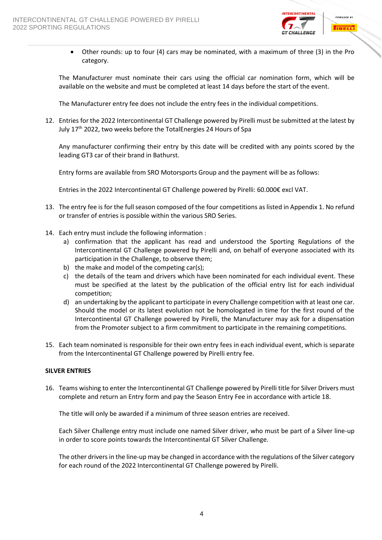

• Other rounds: up to four (4) cars may be nominated, with a maximum of three (3) in the Pro category.

The Manufacturer must nominate their cars using the official car nomination form, which will be available on the website and must be completed at least 14 days before the start of the event.

The Manufacturer entry fee does not include the entry fees in the individual competitions.

12. Entries for the 2022 Intercontinental GT Challenge powered by Pirelli must be submitted at the latest by July 17<sup>th</sup> 2022, two weeks before the TotalEnergies 24 Hours of Spa

Any manufacturer confirming their entry by this date will be credited with any points scored by the leading GT3 car of their brand in Bathurst.

Entry forms are available from SRO Motorsports Group and the payment will be as follows:

Entries in the 2022 Intercontinental GT Challenge powered by Pirelli: 60.000€ excl VAT.

- 13. The entry fee is for the full season composed of the four competitions as listed in Appendix 1. No refund or transfer of entries is possible within the various SRO Series.
- 14. Each entry must include the following information :
	- a) confirmation that the applicant has read and understood the Sporting Regulations of the Intercontinental GT Challenge powered by Pirelli and, on behalf of everyone associated with its participation in the Challenge, to observe them;
	- b) the make and model of the competing car(s);
	- c) the details of the team and drivers which have been nominated for each individual event. These must be specified at the latest by the publication of the official entry list for each individual competition;
	- d) an undertaking by the applicant to participate in every Challenge competition with at least one car. Should the model or its latest evolution not be homologated in time for the first round of the Intercontinental GT Challenge powered by Pirelli, the Manufacturer may ask for a dispensation from the Promoter subject to a firm commitment to participate in the remaining competitions.
- 15. Each team nominated is responsible for their own entry fees in each individual event, which is separate from the Intercontinental GT Challenge powered by Pirelli entry fee.

## **SILVER ENTRIES**

16. Teams wishing to enter the Intercontinental GT Challenge powered by Pirelli title for Silver Drivers must complete and return an Entry form and pay the Season Entry Fee in accordance with article 18.

The title will only be awarded if a minimum of three season entries are received.

Each Silver Challenge entry must include one named Silver driver, who must be part of a Silver line-up in order to score points towards the Intercontinental GT Silver Challenge.

The other drivers in the line-up may be changed in accordance with the regulations of the Silver category for each round of the 2022 Intercontinental GT Challenge powered by Pirelli.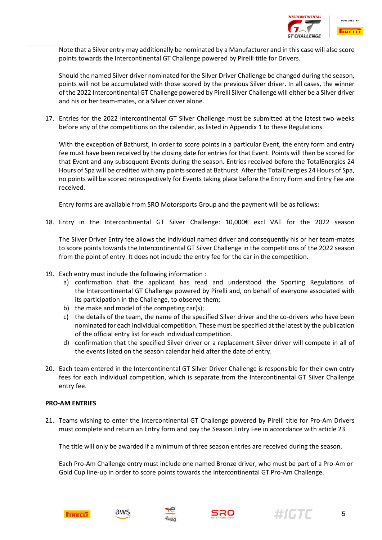

Note that a Silver entry may additionally be nominated by a Manufacturer and in this case will also score points towards the Intercontinental GT Challenge powered by Pirelli title for Drivers.

Should the named Silver driver nominated for the Silver Driver Challenge be changed during the season, points will not be accumulated with those scored by the previous Silver driver. In all cases, the winner of the 2022 Intercontinental GT Challenge powered by Pirelli Silver Challenge will either be a Silver driver and his or her team-mates, or a Silver driver alone.

17. Entries for the 2022 Intercontinental GT Silver Challenge must be submitted at the latest two weeks before any of the competitions on the calendar, as listed in Appendix 1 to these Regulations.

With the exception of Bathurst, in order to score points in a particular Event, the entry form and entry fee must have been received by the closing date for entries for that Event. Points will then be scored for that Event and any subsequent Events during the season. Entries received before the TotalEnergies 24 Hours of Spa will be credited with any points scored at Bathurst. After the TotalEnergies 24 Hours of Spa, no points will be scored retrospectively for Events taking place before the Entry Form and Entry Fee are received.

Entry forms are available from SRO Motorsports Group and the payment will be as follows:

18. Entry in the Intercontinental GT Silver Challenge: 10,000€ excl VAT for the 2022 season

The Silver Driver Entry fee allows the individual named driver and consequently his or her team-mates to score points towards the Intercontinental GT Silver Challenge in the competitions of the 2022 season from the point of entry. It does not include the entry fee for the car in the competition.

- 19. Each entry must include the following information :
	- a) confirmation that the applicant has read and understood the Sporting Regulations of the Intercontinental GT Challenge powered by Pirelli and, on behalf of everyone associated with its participation in the Challenge, to observe them;
	- b) the make and model of the competing car(s);
	- c) the details of the team, the name of the specified Silver driver and the co-drivers who have been nominated for each individual competition. These must be specified at the latest by the publication of the official entry list for each individual competition.
	- d) confirmation that the specified Silver driver or a replacement Silver driver will compete in all of the events listed on the season calendar held after the date of entry.
- 20. Each team entered in the Intercontinental GT Silver Driver Challenge is responsible for their own entry fees for each individual competition, which is separate from the Intercontinental GT Silver Challenge entry fee.

## **PRO-AM ENTRIES**

21. Teams wishing to enter the Intercontinental GT Challenge powered by Pirelli title for Pro-Am Drivers must complete and return an Entry form and pay the Season Entry Fee in accordance with article 23.

The title will only be awarded if a minimum of three season entries are received during the season.

Each Pro-Am Challenge entry must include one named Bronze driver, who must be part of a Pro-Am or Gold Cup line-up in order to score points towards the Intercontinental GT Pro-Am Challenge.







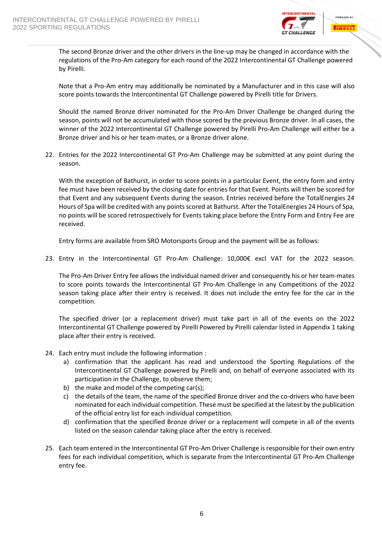

The second Bronze driver and the other drivers in the line-up may be changed in accordance with the regulations of the Pro-Am category for each round of the 2022 Intercontinental GT Challenge powered by Pirelli.

Note that a Pro-Am entry may additionally be nominated by a Manufacturer and in this case will also score points towards the Intercontinental GT Challenge powered by Pirelli title for Drivers.

Should the named Bronze driver nominated for the Pro-Am Driver Challenge be changed during the season, points will not be accumulated with those scored by the previous Bronze driver. In all cases, the winner of the 2022 Intercontinental GT Challenge powered by Pirelli Pro-Am Challenge will either be a Bronze driver and his or her team-mates, or a Bronze driver alone.

22. Entries for the 2022 Intercontinental GT Pro-Am Challenge may be submitted at any point during the season.

With the exception of Bathurst, in order to score points in a particular Event, the entry form and entry fee must have been received by the closing date for entries for that Event. Points will then be scored for that Event and any subsequent Events during the season. Entries received before the TotalEnergies 24 Hours of Spa will be credited with any points scored at Bathurst. After the TotalEnergies 24 Hours of Spa, no points will be scored retrospectively for Events taking place before the Entry Form and Entry Fee are received.

Entry forms are available from SRO Motorsports Group and the payment will be as follows:

23. Entry in the Intercontinental GT Pro-Am Challenge: 10,000€ excl VAT for the 2022 season.

The Pro-Am Driver Entry fee allows the individual named driver and consequently his or her team-mates to score points towards the Intercontinental GT Pro-Am Challenge in any Competitions of the 2022 season taking place after their entry is received. It does not include the entry fee for the car in the competition.

The specified driver (or a replacement driver) must take part in all of the events on the 2022 Intercontinental GT Challenge powered by Pirelli Powered by Pirelli calendar listed in Appendix 1 taking place after their entry is received.

- 24. Each entry must include the following information :
	- a) confirmation that the applicant has read and understood the Sporting Regulations of the Intercontinental GT Challenge powered by Pirelli and, on behalf of everyone associated with its participation in the Challenge, to observe them;
	- b) the make and model of the competing car(s);
	- c) the details of the team, the name of the specified Bronze driver and the co-drivers who have been nominated for each individual competition. These must be specified at the latest by the publication of the official entry list for each individual competition.
	- d) confirmation that the specified Bronze driver or a replacement will compete in all of the events listed on the season calendar taking place after the entry is received.
- 25. Each team entered in the Intercontinental GT Pro-Am Driver Challenge is responsible for their own entry fees for each individual competition, which is separate from the Intercontinental GT Pro-Am Challenge entry fee.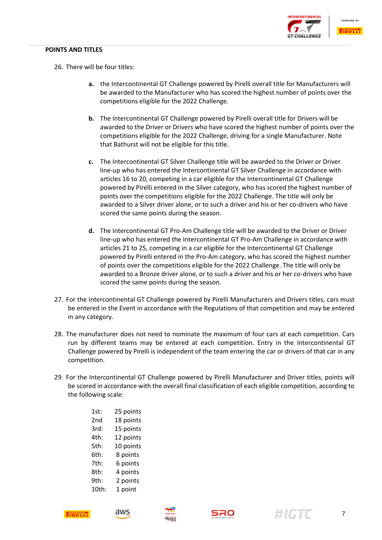## **POINTS AND TITLES**



- 26. There will be four titles:
	- **a.** the Intercontinental GT Challenge powered by Pirelli overall title for Manufacturers will be awarded to the Manufacturer who has scored the highest number of points over the competitions eligible for the 2022 Challenge.
	- **b.** The Intercontinental GT Challenge powered by Pirelli overall title for Drivers will be awarded to the Driver or Drivers who have scored the highest number of points over the competitions eligible for the 2022 Challenge, driving for a single Manufacturer. Note that Bathurst will not be eligible for this title.
	- **c.** The Intercontinental GT Silver Challenge title will be awarded to the Driver or Driver line-up who has entered the Intercontinental GT Silver Challenge in accordance with articles 16 to 20, competing in a car eligible for the Intercontinental GT Challenge powered by Pirelli entered in the Silver category, who has scored the highest number of points over the competitions eligible for the 2022 Challenge. The title will only be awarded to a Silver driver alone, or to such a driver and his or her co-drivers who have scored the same points during the season.
	- **d.** The Intercontinental GT Pro-Am Challenge title will be awarded to the Driver or Driver line-up who has entered the Intercontinental GT Pro-Am Challenge in accordance with articles 21 to 25, competing in a car eligible for the Intercontinental GT Challenge powered by Pirelli entered in the Pro-Am category, who has scored the highest number of points over the competitions eligible for the 2022 Challenge. The title will only be awarded to a Bronze driver alone, or to such a driver and his or her co-drivers who have scored the same points during the season.
- 27. For the Intercontinental GT Challenge powered by Pirelli Manufacturers and Drivers titles, cars must be entered in the Event in accordance with the Regulations of that competition and may be entered in any category.
- 28. The manufacturer does not need to nominate the maximum of four cars at each competition. Cars run by different teams may be entered at each competition. Entry in the Intercontinental GT Challenge powered by Pirelli is independent of the team entering the car or drivers of that car in any competition.
- 29. For the Intercontinental GT Challenge powered by Pirelli Manufacturer and Driver titles, points will be scored in accordance with the overall final classification of each eligible competition, according to the following scale:

| 1st:  | 25 points |
|-------|-----------|
| 2nd   | 18 points |
| 3rd:  | 15 points |
| 4th:  | 12 points |
| 5th:  | 10 points |
| 6th:  | 8 points  |
| 7th:  | 6 points  |
| 8th:  | 4 points  |
| 9th:  | 2 points  |
| 10th: | 1 point   |











7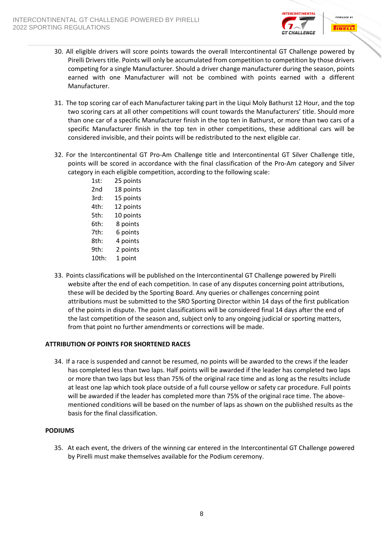

- 30. All eligible drivers will score points towards the overall Intercontinental GT Challenge powered by Pirelli Drivers title. Points will only be accumulated from competition to competition by those drivers competing for a single Manufacturer. Should a driver change manufacturer during the season, points earned with one Manufacturer will not be combined with points earned with a different Manufacturer.
- 31. The top scoring car of each Manufacturer taking part in the Liqui Moly Bathurst 12 Hour, and the top two scoring cars at all other competitions will count towards the Manufacturers' title. Should more than one car of a specific Manufacturer finish in the top ten in Bathurst, or more than two cars of a specific Manufacturer finish in the top ten in other competitions, these additional cars will be considered invisible, and their points will be redistributed to the next eligible car.
- 32. For the Intercontinental GT Pro-Am Challenge title and Intercontinental GT Silver Challenge title, points will be scored in accordance with the final classification of the Pro-Am category and Silver category in each eligible competition, according to the following scale:
	- 1st: 25 points 2nd 18 points 3rd: 15 points 4th: 12 points 5th: 10 points 6th: 8 points 7th: 6 points 8th: 4 points 9th: 2 points 10th: 1 point
- 33. Points classifications will be published on the Intercontinental GT Challenge powered by Pirelli website after the end of each competition. In case of any disputes concerning point attributions, these will be decided by the Sporting Board. Any queries or challenges concerning point attributions must be submitted to the SRO Sporting Director within 14 days of the first publication of the points in dispute. The point classifications will be considered final 14 days after the end of the last competition of the season and, subject only to any ongoing judicial or sporting matters, from that point no further amendments or corrections will be made.

# **ATTRIBUTION OF POINTS FOR SHORTENED RACES**

34. If a race is suspended and cannot be resumed, no points will be awarded to the crews if the leader has completed less than two laps. Half points will be awarded if the leader has completed two laps or more than two laps but less than 75% of the original race time and as long as the results include at least one lap which took place outside of a full course yellow or safety car procedure. Full points will be awarded if the leader has completed more than 75% of the original race time. The abovementioned conditions will be based on the number of laps as shown on the published results as the basis for the final classification.

## **PODIUMS**

35. At each event, the drivers of the winning car entered in the Intercontinental GT Challenge powered by Pirelli must make themselves available for the Podium ceremony.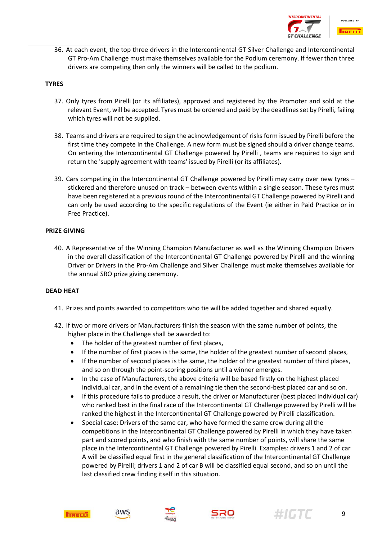

36. At each event, the top three drivers in the Intercontinental GT Silver Challenge and Intercontinental GT Pro-Am Challenge must make themselves available for the Podium ceremony. If fewer than three drivers are competing then only the winners will be called to the podium.

## **TYRES**

- 37. Only tyres from Pirelli (or its affiliates), approved and registered by the Promoter and sold at the relevant Event, will be accepted. Tyres must be ordered and paid by the deadlines set by Pirelli, failing which tyres will not be supplied.
- 38. Teams and drivers are required to sign the acknowledgement of risks form issued by Pirelli before the first time they compete in the Challenge. A new form must be signed should a driver change teams. On entering the Intercontinental GT Challenge powered by Pirelli , teams are required to sign and return the 'supply agreement with teams' issued by Pirelli (or its affiliates).
- 39. Cars competing in the Intercontinental GT Challenge powered by Pirelli may carry over new tyres stickered and therefore unused on track – between events within a single season. These tyres must have been registered at a previous round of the Intercontinental GT Challenge powered by Pirelli and can only be used according to the specific regulations of the Event (ie either in Paid Practice or in Free Practice).

# **PRIZE GIVING**

40. A Representative of the Winning Champion Manufacturer as well as the Winning Champion Drivers in the overall classification of the Intercontinental GT Challenge powered by Pirelli and the winning Driver or Drivers in the Pro-Am Challenge and Silver Challenge must make themselves available for the annual SRO prize giving ceremony.

## **DEAD HEAT**

- 41. Prizes and points awarded to competitors who tie will be added together and shared equally.
- 42. If two or more drivers or Manufacturers finish the season with the same number of points, the higher place in the Challenge shall be awarded to:
	- The holder of the greatest number of first places**,**
	- If the number of first places is the same, the holder of the greatest number of second places,
	- If the number of second places is the same, the holder of the greatest number of third places, and so on through the point-scoring positions until a winner emerges.
	- In the case of Manufacturers, the above criteria will be based firstly on the highest placed individual car, and in the event of a remaining tie then the second-best placed car and so on.
	- If this procedure fails to produce a result, the driver or Manufacturer (best placed individual car) who ranked best in the final race of the Intercontinental GT Challenge powered by Pirelli will be ranked the highest in the Intercontinental GT Challenge powered by Pirelli classification.
	- Special case: Drivers of the same car, who have formed the same crew during all the competitions in the Intercontinental GT Challenge powered by Pirelli in which they have taken part and scored points**,** and who finish with the same number of points, will share the same place in the Intercontinental GT Challenge powered by Pirelli. Examples: drivers 1 and 2 of car A will be classified equal first in the general classification of the Intercontinental GT Challenge powered by Pirelli; drivers 1 and 2 of car B will be classified equal second, and so on until the last classified crew finding itself in this situation.







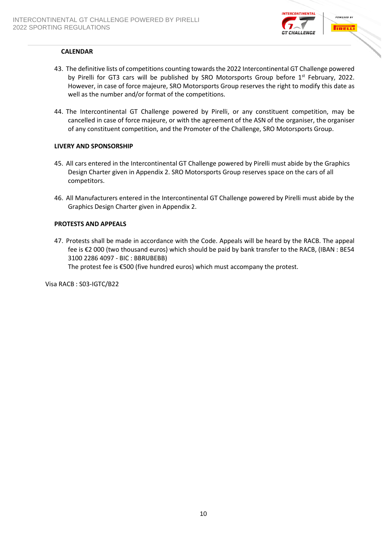

## **CALENDAR**

- 43. The definitive lists of competitions counting towards the 2022 Intercontinental GT Challenge powered by Pirelli for GT3 cars will be published by SRO Motorsports Group before 1<sup>st</sup> February, 2022. However, in case of force majeure, SRO Motorsports Group reserves the right to modify this date as well as the number and/or format of the competitions.
- 44. The Intercontinental GT Challenge powered by Pirelli, or any constituent competition, may be cancelled in case of force majeure, or with the agreement of the ASN of the organiser, the organiser of any constituent competition, and the Promoter of the Challenge, SRO Motorsports Group.

## **LIVERY AND SPONSORSHIP**

- 45. All cars entered in the Intercontinental GT Challenge powered by Pirelli must abide by the Graphics Design Charter given in Appendix 2. SRO Motorsports Group reserves space on the cars of all competitors.
- 46. All Manufacturers entered in the Intercontinental GT Challenge powered by Pirelli must abide by the Graphics Design Charter given in Appendix 2.

## **PROTESTS AND APPEALS**

47. Protests shall be made in accordance with the Code. Appeals will be heard by the RACB. The appeal fee is €2 000 (two thousand euros) which should be paid by bank transfer to the RACB, (IBAN : BE54 3100 2286 4097 - BIC : BBRUBEBB) The protest fee is €500 (five hundred euros) which must accompany the protest.

Visa RACB : S03-IGTC/B22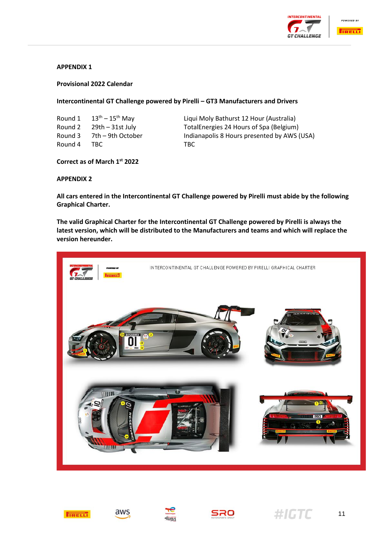



## **APPENDIX 1**

#### **Provisional 2022 Calendar**

#### **Intercontinental GT Challenge powered by Pirelli – GT3 Manufacturers and Drivers**

| Round 1 | $13^{\text{th}}$ – $15^{\text{th}}$ May | Ligu |
|---------|-----------------------------------------|------|
|         | Round $2 \qquad 29$ th $-31$ st July    | Tota |
| Round 3 | 7th – 9th October                       | Indi |
| Round 4 | TBC.                                    | TBC  |

Liqui Moly Bathurst 12 Hour (Australia) TotalEnergies 24 Hours of Spa (Belgium) Indianapolis 8 Hours presented by AWS (USA)

## **Correct as of March 1 st 2022**

## **APPENDIX 2**

**All cars entered in the Intercontinental GT Challenge powered by Pirelli must abide by the following Graphical Charter.**

**The valid Graphical Charter for the Intercontinental GT Challenge powered by Pirelli is always the latest version, which will be distributed to the Manufacturers and teams and which will replace the version hereunder.**













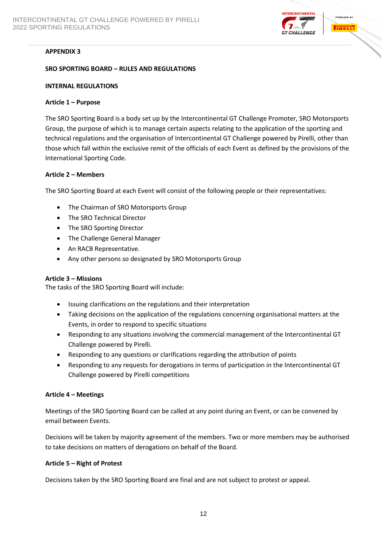

# **APPENDIX 3**

## **SRO SPORTING BOARD – RULES AND REGULATIONS**

#### **INTERNAL REGULATIONS**

#### **Article 1 – Purpose**

The SRO Sporting Board is a body set up by the Intercontinental GT Challenge Promoter, SRO Motorsports Group, the purpose of which is to manage certain aspects relating to the application of the sporting and technical regulations and the organisation of Intercontinental GT Challenge powered by Pirelli, other than those which fall within the exclusive remit of the officials of each Event as defined by the provisions of the International Sporting Code.

## **Article 2 – Members**

The SRO Sporting Board at each Event will consist of the following people or their representatives:

- The Chairman of SRO Motorsports Group
- The SRO Technical Director
- The SRO Sporting Director
- The Challenge General Manager
- An RACB Representative.
- Any other persons so designated by SRO Motorsports Group

## **Article 3 – Missions**

The tasks of the SRO Sporting Board will include:

- Issuing clarifications on the regulations and their interpretation
- Taking decisions on the application of the regulations concerning organisational matters at the Events, in order to respond to specific situations
- Responding to any situations involving the commercial management of the Intercontinental GT Challenge powered by Pirelli.
- Responding to any questions or clarifications regarding the attribution of points
- Responding to any requests for derogations in terms of participation in the Intercontinental GT Challenge powered by Pirelli competitions

## **Article 4 – Meetings**

Meetings of the SRO Sporting Board can be called at any point during an Event, or can be convened by email between Events.

Decisions will be taken by majority agreement of the members. Two or more members may be authorised to take decisions on matters of derogations on behalf of the Board.

## **Article 5 – Right of Protest**

Decisions taken by the SRO Sporting Board are final and are not subject to protest or appeal.